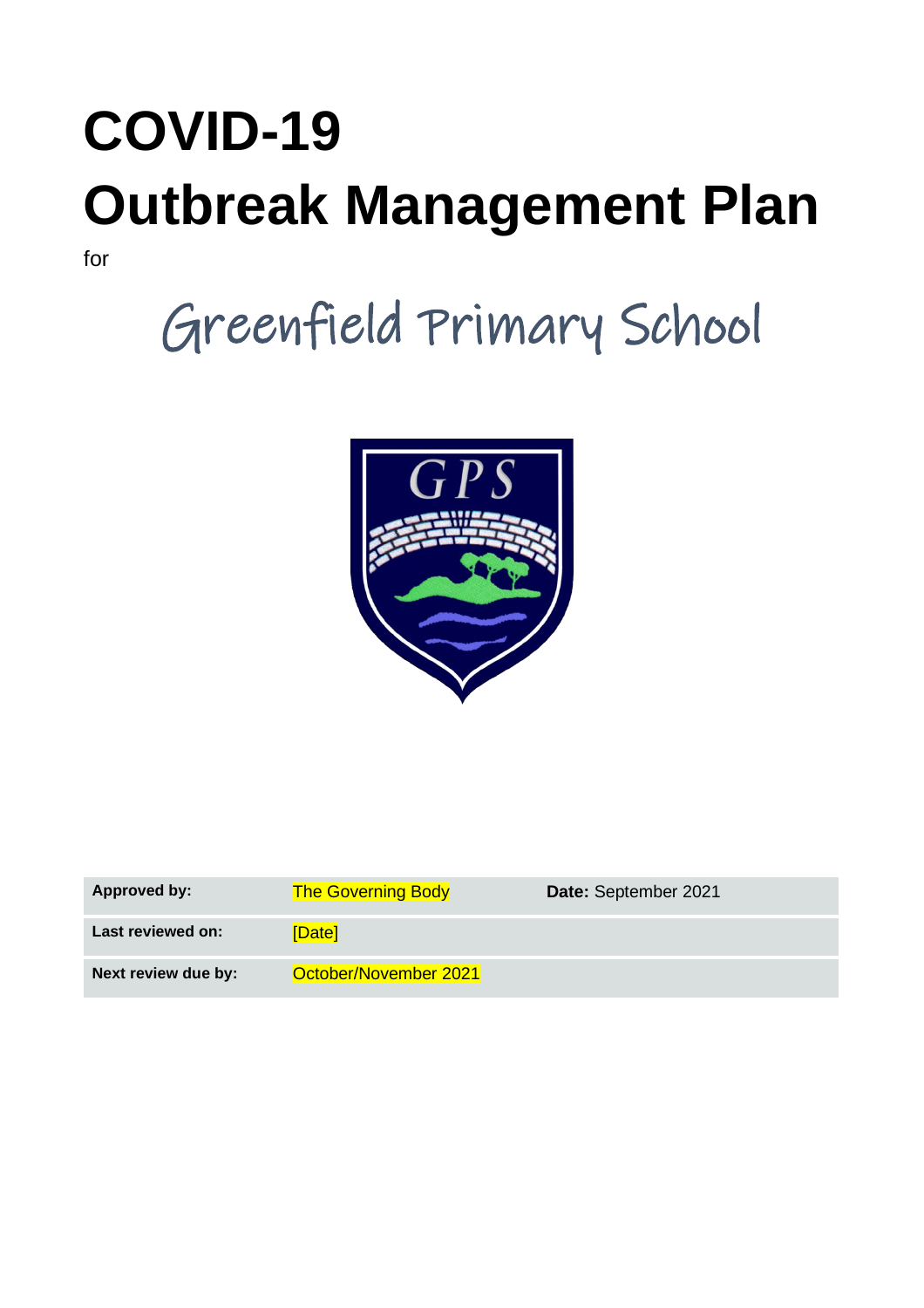# **COVID-19 Outbreak Management Plan**

for

# Greenfield Primary School



| <b>Approved by:</b> | <b>The Governing Body</b> | Date: September 2021 |
|---------------------|---------------------------|----------------------|
| Last reviewed on:   | [Date]                    |                      |
| Next review due by: | October/November 2021     |                      |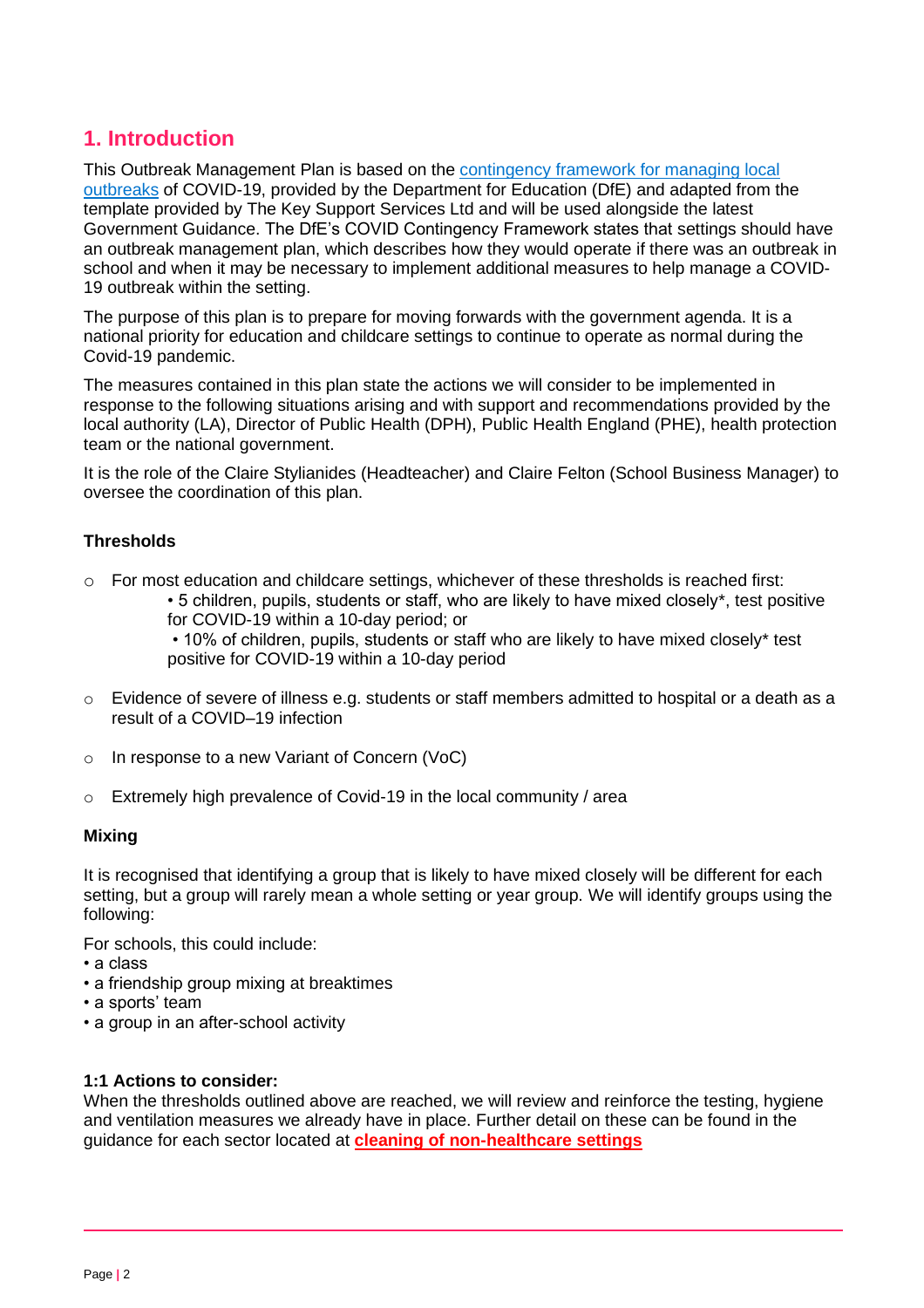# **1. Introduction**

This Outbreak Management Plan is based on the [contingency framework for managing local](https://www.gov.uk/government/publications/coronavirus-covid-19-local-restrictions-in-education-and-childcare-settings)  [outbreaks](https://www.gov.uk/government/publications/coronavirus-covid-19-local-restrictions-in-education-and-childcare-settings) of COVID-19, provided by the Department for Education (DfE) and adapted from the template provided by The Key Support Services Ltd and will be used alongside the latest Government Guidance. The DfE's COVID Contingency Framework states that settings should have an outbreak management plan, which describes how they would operate if there was an outbreak in school and when it may be necessary to implement additional measures to help manage a COVID-19 outbreak within the setting.

The purpose of this plan is to prepare for moving forwards with the government agenda. It is a national priority for education and childcare settings to continue to operate as normal during the Covid-19 pandemic.

The measures contained in this plan state the actions we will consider to be implemented in response to the following situations arising and with support and recommendations provided by the local authority (LA), Director of Public Health (DPH), Public Health England (PHE), health protection team or the national government.

It is the role of the Claire Stylianides (Headteacher) and Claire Felton (School Business Manager) to oversee the coordination of this plan.

#### **Thresholds**

- o For most education and childcare settings, whichever of these thresholds is reached first:
	- 5 children, pupils, students or staff, who are likely to have mixed closely\*, test positive for COVID-19 within a 10-day period; or

• 10% of children, pupils, students or staff who are likely to have mixed closely\* test positive for COVID-19 within a 10-day period

- o Evidence of severe of illness e.g. students or staff members admitted to hospital or a death as a result of a COVID–19 infection
- In response to a new Variant of Concern (VoC)
- $\circ$  Extremely high prevalence of Covid-19 in the local community / area

#### **Mixing**

It is recognised that identifying a group that is likely to have mixed closely will be different for each setting, but a group will rarely mean a whole setting or year group. We will identify groups using the following:

For schools, this could include:

- a class
- a friendship group mixing at breaktimes
- a sports' team
- a group in an after-school activity

#### **1:1 Actions to consider:**

When the thresholds outlined above are reached, we will review and reinforce the testing, hygiene and ventilation measures we already have in place. Further detail on these can be found in the guidance for each sector located at **[cleaning of non-healthcare settings](https://www.gov.uk/government/publications/covid-19-decontamination-in-non-healthcare-settings)**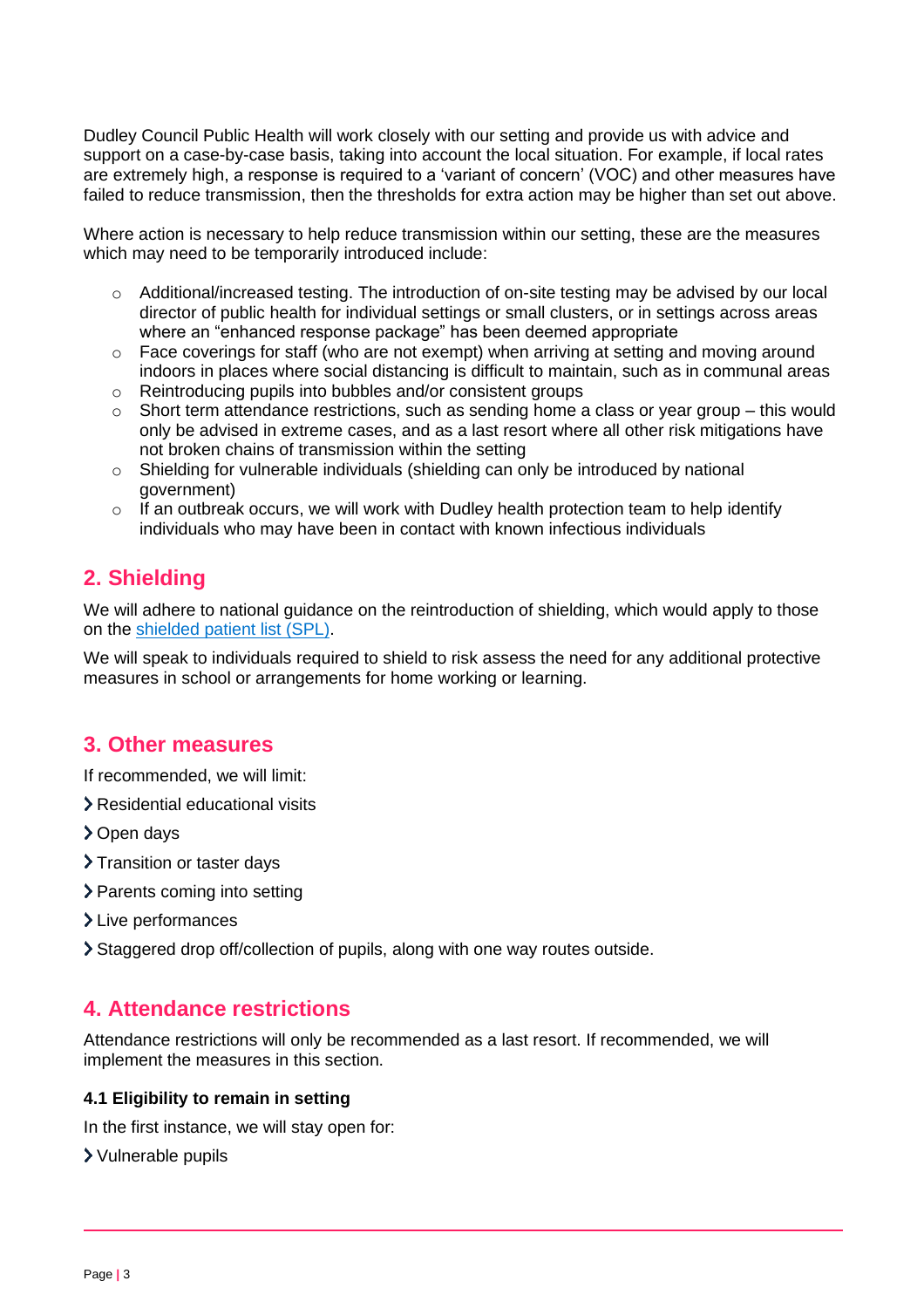Dudley Council Public Health will work closely with our setting and provide us with advice and support on a case-by-case basis, taking into account the local situation. For example, if local rates are extremely high, a response is required to a 'variant of concern' (VOC) and other measures have failed to reduce transmission, then the thresholds for extra action may be higher than set out above.

Where action is necessary to help reduce transmission within our setting, these are the measures which may need to be temporarily introduced include:

- o Additional/increased testing. The introduction of on-site testing may be advised by our local director of public health for individual settings or small clusters, or in settings across areas where an "enhanced response package" has been deemed appropriate
- o Face coverings for staff (who are not exempt) when arriving at setting and moving around indoors in places where social distancing is difficult to maintain, such as in communal areas
- o Reintroducing pupils into bubbles and/or consistent groups
- $\circ$  Short term attendance restrictions, such as sending home a class or year group this would only be advised in extreme cases, and as a last resort where all other risk mitigations have not broken chains of transmission within the setting
- o Shielding for vulnerable individuals (shielding can only be introduced by national government)
- $\circ$  If an outbreak occurs, we will work with Dudley health protection team to help identify individuals who may have been in contact with known infectious individuals

# **2. Shielding**

We will adhere to national guidance on the reintroduction of shielding, which would apply to those on the shielded [patient list \(SPL\).](https://digital.nhs.uk/coronavirus/shielded-patient-list)

We will speak to individuals required to shield to risk assess the need for any additional protective measures in school or arrangements for home working or learning.

# **3. Other measures**

If recommended, we will limit:

- Residential educational visits
- > Open days
- > Transition or taster days
- > Parents coming into setting
- > Live performances
- Staggered drop off/collection of pupils, along with one way routes outside.

# **4. Attendance restrictions**

Attendance restrictions will only be recommended as a last resort. If recommended, we will implement the measures in this section.

#### **4.1 Eligibility to remain in setting**

In the first instance, we will stay open for:

Vulnerable pupils